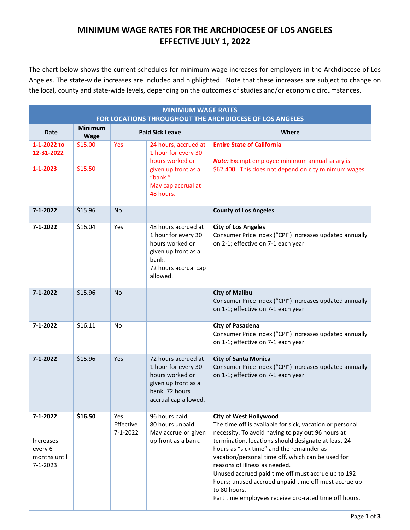# **MINIMUM WAGE RATES FOR THE ARCHDIOCESE OF LOS ANGELES EFFECTIVE JULY 1, 2022**

The chart below shows the current schedules for minimum wage increases for employers in the Archdiocese of Los Angeles. The state-wide increases are included and highlighted. Note that these increases are subject to change on the local, county and state-wide levels, depending on the outcomes of studies and/or economic circumstances.

| <b>MINIMUM WAGE RATES</b><br>FOR LOCATIONS THROUGHOUT THE ARCHDIOCESE OF LOS ANGELES |                               |                                    |                                                                                                                                     |                                                                                                                                                                                                                                                                                                                                                                                                                                                                                                                                 |  |
|--------------------------------------------------------------------------------------|-------------------------------|------------------------------------|-------------------------------------------------------------------------------------------------------------------------------------|---------------------------------------------------------------------------------------------------------------------------------------------------------------------------------------------------------------------------------------------------------------------------------------------------------------------------------------------------------------------------------------------------------------------------------------------------------------------------------------------------------------------------------|--|
| <b>Date</b>                                                                          | <b>Minimum</b><br><b>Wage</b> |                                    | <b>Paid Sick Leave</b>                                                                                                              | Where                                                                                                                                                                                                                                                                                                                                                                                                                                                                                                                           |  |
| 1-1-2022 to<br>12-31-2022<br>$1 - 1 - 2023$                                          | \$15.00<br>\$15.50            | Yes                                | 24 hours, accrued at<br>1 hour for every 30<br>hours worked or<br>given up front as a<br>"bank."<br>May cap accrual at<br>48 hours. | <b>Entire State of California</b><br>Note: Exempt employee minimum annual salary is<br>\$62,400. This does not depend on city minimum wages.                                                                                                                                                                                                                                                                                                                                                                                    |  |
| $7 - 1 - 2022$                                                                       | \$15.96                       | <b>No</b>                          |                                                                                                                                     | <b>County of Los Angeles</b>                                                                                                                                                                                                                                                                                                                                                                                                                                                                                                    |  |
| $7 - 1 - 2022$                                                                       | \$16.04                       | Yes                                | 48 hours accrued at<br>1 hour for every 30<br>hours worked or<br>given up front as a<br>bank.<br>72 hours accrual cap<br>allowed.   | <b>City of Los Angeles</b><br>Consumer Price Index ("CPI") increases updated annually<br>on 2-1; effective on 7-1 each year                                                                                                                                                                                                                                                                                                                                                                                                     |  |
| $7 - 1 - 2022$                                                                       | \$15.96                       | <b>No</b>                          |                                                                                                                                     | <b>City of Malibu</b><br>Consumer Price Index ("CPI") increases updated annually<br>on 1-1; effective on 7-1 each year                                                                                                                                                                                                                                                                                                                                                                                                          |  |
| $7 - 1 - 2022$                                                                       | \$16.11                       | No                                 |                                                                                                                                     | <b>City of Pasadena</b><br>Consumer Price Index ("CPI") increases updated annually<br>on 1-1; effective on 7-1 each year                                                                                                                                                                                                                                                                                                                                                                                                        |  |
| $7 - 1 - 2022$                                                                       | \$15.96                       | Yes                                | 72 hours accrued at<br>1 hour for every 30<br>hours worked or<br>given up front as a<br>bank. 72 hours<br>accrual cap allowed.      | <b>City of Santa Monica</b><br>Consumer Price Index ("CPI") increases updated annually<br>on 1-1; effective on 7-1 each year                                                                                                                                                                                                                                                                                                                                                                                                    |  |
| $7 - 1 - 2022$<br><b>Increases</b><br>every 6<br>months until<br>$7 - 1 - 2023$      | \$16.50                       | Yes<br>Effective<br>$7 - 1 - 2022$ | 96 hours paid;<br>80 hours unpaid.<br>May accrue or given<br>up front as a bank.                                                    | <b>City of West Hollywood</b><br>The time off is available for sick, vacation or personal<br>necessity. To avoid having to pay out 96 hours at<br>termination, locations should designate at least 24<br>hours as "sick time" and the remainder as<br>vacation/personal time off, which can be used for<br>reasons of illness as needed.<br>Unused accrued paid time off must accrue up to 192<br>hours; unused accrued unpaid time off must accrue up<br>to 80 hours.<br>Part time employees receive pro-rated time off hours. |  |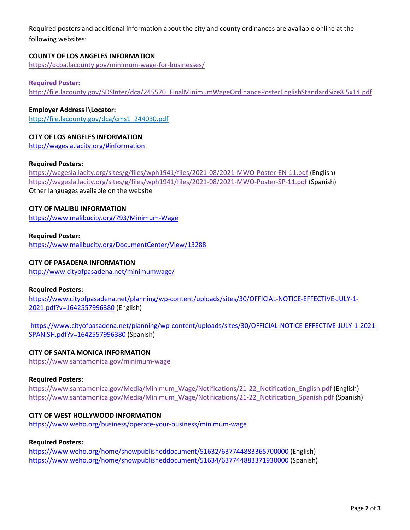Required posters and additional information about the city and county ordinances are available online at the following websites:

## **COUNTY OF LOS ANGELES INFORMATION**

<https://dcba.lacounty.gov/minimum-wage-for-businesses/>

## **Required Poster:**

[http://file.lacounty.gov/SDSInter/dca/245570\\_FinalMinimumWageOrdinancePosterEnglishStandardSize8.5x14.pdf](http://file.lacounty.gov/SDSInter/dca/245570_FinalMinimumWageOrdinancePosterEnglishStandardSize8.5x14.pdf)

## **Employer Address l\Locator:**

[http://file.lacounty.gov/dca/cms1\\_244030.pdf](http://file.lacounty.gov/dca/cms1_244030.pdf)

# **CITY OF LOS ANGELES INFORMATION**

<http://wagesla.lacity.org/#information>

#### **Required Posters:**

<https://wagesla.lacity.org/sites/g/files/wph1941/files/2021-08/2021-MWO-Poster-EN-11.pdf> (English) <https://wagesla.lacity.org/sites/g/files/wph1941/files/2021-08/2021-MWO-Poster-SP-11.pdf> (Spanish) Other languages available on the website

## **CITY OF MALIBU INFORMATION**

<https://www.malibucity.org/793/Minimum-Wage>

## **Required Poster:**

<https://www.malibucity.org/DocumentCenter/View/13288>

## **CITY OF PASADENA INFORMATION**

<http://www.cityofpasadena.net/minimumwage/>

#### **Required Posters:**

[https://www.cityofpasadena.net/planning/wp-content/uploads/sites/30/OFFICIAL-NOTICE-EFFECTIVE-JULY-1-](https://www.cityofpasadena.net/planning/wp-content/uploads/sites/30/OFFICIAL-NOTICE-EFFECTIVE-JULY-1-2021.pdf?v=1642557996380) [2021.pdf?v=1642557996380](https://www.cityofpasadena.net/planning/wp-content/uploads/sites/30/OFFICIAL-NOTICE-EFFECTIVE-JULY-1-2021.pdf?v=1642557996380) (English)

[https://www.cityofpasadena.net/planning/wp-content/uploads/sites/30/OFFICIAL-NOTICE-EFFECTIVE-JULY-1-2021-](https://www.cityofpasadena.net/planning/wp-content/uploads/sites/30/OFFICIAL-NOTICE-EFFECTIVE-JULY-1-2021-SPANISH.pdf?v=1642557996380) [SPANISH.pdf?v=1642557996380](https://www.cityofpasadena.net/planning/wp-content/uploads/sites/30/OFFICIAL-NOTICE-EFFECTIVE-JULY-1-2021-SPANISH.pdf?v=1642557996380) (Spanish)

#### **CITY OF SANTA MONICA INFORMATION**

<https://www.santamonica.gov/minimum-wage>

#### **Required Posters:**

[https://www.santamonica.gov/Media/Minimum\\_Wage/Notifications/21-22\\_Notification\\_English.pdf](https://www.santamonica.gov/Media/Minimum_Wage/Notifications/21-22_Notification_English.pdf) (English) [https://www.santamonica.gov/Media/Minimum\\_Wage/Notifications/21-22\\_Notification\\_Spanish.pdf](https://www.santamonica.gov/Media/Minimum_Wage/Notifications/21-22_Notification_Spanish.pdf) (Spanish)

# **CITY OF WEST HOLLYWOOD INFORMATION**

<https://www.weho.org/business/operate-your-business/minimum-wage>

## **Required Posters:**

<https://www.weho.org/home/showpublisheddocument/51632/637744883365700000> (English) <https://www.weho.org/home/showpublisheddocument/51634/637744883371930000> (Spanish)